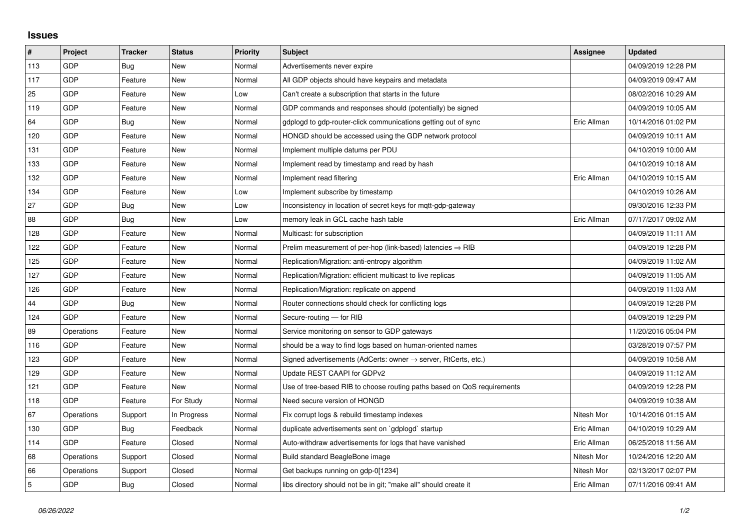## **Issues**

| #   | Project    | <b>Tracker</b> | <b>Status</b> | <b>Priority</b> | <b>Subject</b>                                                             | <b>Assignee</b> | <b>Updated</b>      |
|-----|------------|----------------|---------------|-----------------|----------------------------------------------------------------------------|-----------------|---------------------|
| 113 | GDP        | Bug            | <b>New</b>    | Normal          | Advertisements never expire                                                |                 | 04/09/2019 12:28 PM |
| 117 | GDP        | Feature        | New           | Normal          | All GDP objects should have keypairs and metadata                          |                 | 04/09/2019 09:47 AM |
| 25  | GDP        | Feature        | New           | Low             | Can't create a subscription that starts in the future                      |                 | 08/02/2016 10:29 AM |
| 119 | GDP        | Feature        | <b>New</b>    | Normal          | GDP commands and responses should (potentially) be signed                  |                 | 04/09/2019 10:05 AM |
| 64  | GDP        | Bug            | New           | Normal          | gdplogd to gdp-router-click communications getting out of sync             | Eric Allman     | 10/14/2016 01:02 PM |
| 120 | GDP        | Feature        | New           | Normal          | HONGD should be accessed using the GDP network protocol                    |                 | 04/09/2019 10:11 AM |
| 131 | GDP        | Feature        | <b>New</b>    | Normal          | Implement multiple datums per PDU                                          |                 | 04/10/2019 10:00 AM |
| 133 | GDP        | Feature        | New           | Normal          | Implement read by timestamp and read by hash                               |                 | 04/10/2019 10:18 AM |
| 132 | GDP        | Feature        | New           | Normal          | Implement read filtering                                                   | Eric Allman     | 04/10/2019 10:15 AM |
| 134 | GDP        | Feature        | New           | Low             | Implement subscribe by timestamp                                           |                 | 04/10/2019 10:26 AM |
| 27  | GDP        | Bug            | New           | Low             | Inconsistency in location of secret keys for mqtt-gdp-gateway              |                 | 09/30/2016 12:33 PM |
| 88  | GDP        | Bug            | New           | Low             | memory leak in GCL cache hash table                                        | Eric Allman     | 07/17/2017 09:02 AM |
| 128 | GDP        | Feature        | New           | Normal          | Multicast: for subscription                                                |                 | 04/09/2019 11:11 AM |
| 122 | GDP        | Feature        | New           | Normal          | Prelim measurement of per-hop (link-based) latencies $\Rightarrow$ RIB     |                 | 04/09/2019 12:28 PM |
| 125 | GDP        | Feature        | New           | Normal          | Replication/Migration: anti-entropy algorithm                              |                 | 04/09/2019 11:02 AM |
| 127 | GDP        | Feature        | New           | Normal          | Replication/Migration: efficient multicast to live replicas                |                 | 04/09/2019 11:05 AM |
| 126 | GDP        | Feature        | New           | Normal          | Replication/Migration: replicate on append                                 |                 | 04/09/2019 11:03 AM |
| 44  | GDP        | Bug            | New           | Normal          | Router connections should check for conflicting logs                       |                 | 04/09/2019 12:28 PM |
| 124 | GDP        | Feature        | New           | Normal          | Secure-routing - for RIB                                                   |                 | 04/09/2019 12:29 PM |
| 89  | Operations | Feature        | New           | Normal          | Service monitoring on sensor to GDP gateways                               |                 | 11/20/2016 05:04 PM |
| 116 | GDP        | Feature        | New           | Normal          | should be a way to find logs based on human-oriented names                 |                 | 03/28/2019 07:57 PM |
| 123 | GDP        | Feature        | New           | Normal          | Signed advertisements (AdCerts: owner $\rightarrow$ server, RtCerts, etc.) |                 | 04/09/2019 10:58 AM |
| 129 | GDP        | Feature        | New           | Normal          | Update REST CAAPI for GDPv2                                                |                 | 04/09/2019 11:12 AM |
| 121 | GDP        | Feature        | New           | Normal          | Use of tree-based RIB to choose routing paths based on QoS requirements    |                 | 04/09/2019 12:28 PM |
| 118 | <b>GDP</b> | Feature        | For Study     | Normal          | Need secure version of HONGD                                               |                 | 04/09/2019 10:38 AM |
| 67  | Operations | Support        | In Progress   | Normal          | Fix corrupt logs & rebuild timestamp indexes                               | Nitesh Mor      | 10/14/2016 01:15 AM |
| 130 | GDP        | Bug            | Feedback      | Normal          | duplicate advertisements sent on `gdplogd` startup                         | Eric Allman     | 04/10/2019 10:29 AM |
| 114 | <b>GDP</b> | Feature        | Closed        | Normal          | Auto-withdraw advertisements for logs that have vanished                   | Eric Allman     | 06/25/2018 11:56 AM |
| 68  | Operations | Support        | Closed        | Normal          | Build standard BeagleBone image                                            | Nitesh Mor      | 10/24/2016 12:20 AM |
| 66  | Operations | Support        | Closed        | Normal          | Get backups running on gdp-0[1234]                                         | Nitesh Mor      | 02/13/2017 02:07 PM |
| 5   | GDP        | <b>Bug</b>     | Closed        | Normal          | libs directory should not be in git; "make all" should create it           | Eric Allman     | 07/11/2016 09:41 AM |